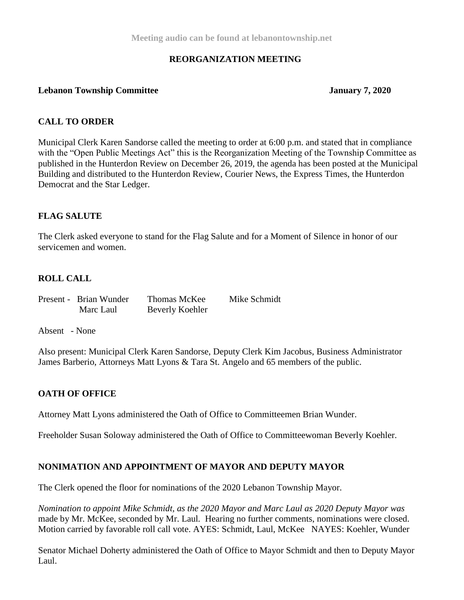## **REORGANIZATION MEETING**

#### **Lebanon Township Committee January 7, 2020**

#### **CALL TO ORDER**

Municipal Clerk Karen Sandorse called the meeting to order at 6:00 p.m. and stated that in compliance with the "Open Public Meetings Act" this is the Reorganization Meeting of the Township Committee as published in the Hunterdon Review on December 26, 2019, the agenda has been posted at the Municipal Building and distributed to the Hunterdon Review, Courier News, the Express Times, the Hunterdon Democrat and the Star Ledger.

#### **FLAG SALUTE**

The Clerk asked everyone to stand for the Flag Salute and for a Moment of Silence in honor of our servicemen and women.

#### **ROLL CALL**

Present - Brian Wunder Thomas McKee Mike Schmidt

Marc Laul Beverly Koehler

Absent - None

Also present: Municipal Clerk Karen Sandorse, Deputy Clerk Kim Jacobus, Business Administrator James Barberio, Attorneys Matt Lyons & Tara St. Angelo and 65 members of the public.

#### **OATH OF OFFICE**

Attorney Matt Lyons administered the Oath of Office to Committeemen Brian Wunder.

Freeholder Susan Soloway administered the Oath of Office to Committeewoman Beverly Koehler.

#### **NONIMATION AND APPOINTMENT OF MAYOR AND DEPUTY MAYOR**

The Clerk opened the floor for nominations of the 2020 Lebanon Township Mayor.

*Nomination to appoint Mike Schmidt, as the 2020 Mayor and Marc Laul as 2020 Deputy Mayor was*  made by Mr. McKee, seconded by Mr. Laul*.* Hearing no further comments, nominations were closed. Motion carried by favorable roll call vote. AYES: Schmidt, Laul, McKee NAYES: Koehler, Wunder

Senator Michael Doherty administered the Oath of Office to Mayor Schmidt and then to Deputy Mayor Laul.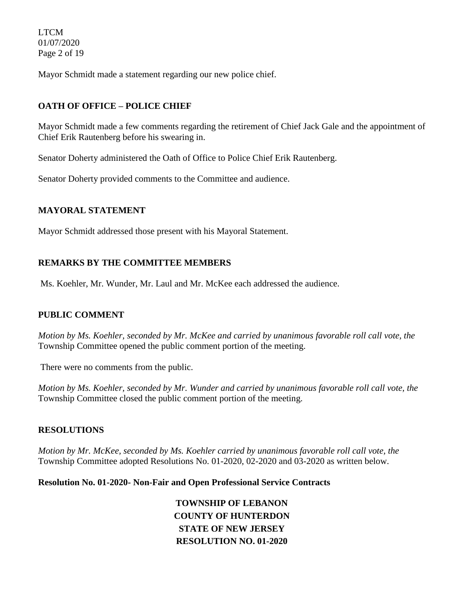LTCM 01/07/2020 Page 2 of 19

Mayor Schmidt made a statement regarding our new police chief.

# **OATH OF OFFICE – POLICE CHIEF**

Mayor Schmidt made a few comments regarding the retirement of Chief Jack Gale and the appointment of Chief Erik Rautenberg before his swearing in.

Senator Doherty administered the Oath of Office to Police Chief Erik Rautenberg.

Senator Doherty provided comments to the Committee and audience.

## **MAYORAL STATEMENT**

Mayor Schmidt addressed those present with his Mayoral Statement.

# **REMARKS BY THE COMMITTEE MEMBERS**

Ms. Koehler, Mr. Wunder, Mr. Laul and Mr. McKee each addressed the audience.

## **PUBLIC COMMENT**

*Motion by Ms. Koehler, seconded by Mr. McKee and carried by unanimous favorable roll call vote, the*  Township Committee opened the public comment portion of the meeting.

There were no comments from the public.

*Motion by Ms. Koehler, seconded by Mr. Wunder and carried by unanimous favorable roll call vote, the* Township Committee closed the public comment portion of the meeting.

## **RESOLUTIONS**

*Motion by Mr. McKee, seconded by Ms. Koehler carried by unanimous favorable roll call vote, the* Township Committee adopted Resolutions No. 01-2020, 02-2020 and 03-2020 as written below.

#### **Resolution No. 01-2020- Non-Fair and Open Professional Service Contracts**

**TOWNSHIP OF LEBANON COUNTY OF HUNTERDON STATE OF NEW JERSEY RESOLUTION NO. 01-2020**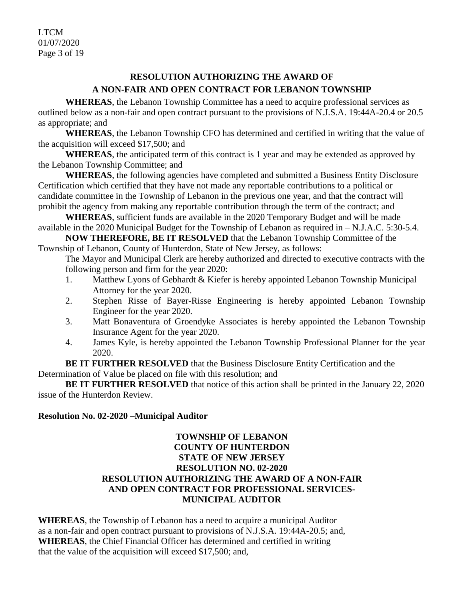LTCM 01/07/2020 Page 3 of 19

# **RESOLUTION AUTHORIZING THE AWARD OF A NON-FAIR AND OPEN CONTRACT FOR LEBANON TOWNSHIP**

**WHEREAS**, the Lebanon Township Committee has a need to acquire professional services as outlined below as a non-fair and open contract pursuant to the provisions of N.J.S.A. 19:44A-20.4 or 20.5 as appropriate; and

**WHEREAS**, the Lebanon Township CFO has determined and certified in writing that the value of the acquisition will exceed \$17,500; and

**WHEREAS**, the anticipated term of this contract is 1 year and may be extended as approved by the Lebanon Township Committee; and

**WHEREAS**, the following agencies have completed and submitted a Business Entity Disclosure Certification which certified that they have not made any reportable contributions to a political or candidate committee in the Township of Lebanon in the previous one year, and that the contract will prohibit the agency from making any reportable contribution through the term of the contract; and

**WHEREAS**, sufficient funds are available in the 2020 Temporary Budget and will be made available in the 2020 Municipal Budget for the Township of Lebanon as required in – N.J.A.C. 5:30-5.4.

**NOW THEREFORE, BE IT RESOLVED** that the Lebanon Township Committee of the Township of Lebanon, County of Hunterdon, State of New Jersey, as follows:

The Mayor and Municipal Clerk are hereby authorized and directed to executive contracts with the following person and firm for the year 2020:

- 1. Matthew Lyons of Gebhardt & Kiefer is hereby appointed Lebanon Township Municipal Attorney for the year 2020.
- 2. Stephen Risse of Bayer-Risse Engineering is hereby appointed Lebanon Township Engineer for the year 2020.
- 3. Matt Bonaventura of Groendyke Associates is hereby appointed the Lebanon Township Insurance Agent for the year 2020.
- 4. James Kyle, is hereby appointed the Lebanon Township Professional Planner for the year 2020.

**BE IT FURTHER RESOLVED** that the Business Disclosure Entity Certification and the Determination of Value be placed on file with this resolution; and

**BE IT FURTHER RESOLVED** that notice of this action shall be printed in the January 22, 2020 issue of the Hunterdon Review.

## **Resolution No. 02-2020 –Municipal Auditor**

## **TOWNSHIP OF LEBANON COUNTY OF HUNTERDON STATE OF NEW JERSEY RESOLUTION NO. 02-2020 RESOLUTION AUTHORIZING THE AWARD OF A NON-FAIR AND OPEN CONTRACT FOR PROFESSIONAL SERVICES-MUNICIPAL AUDITOR**

**WHEREAS**, the Township of Lebanon has a need to acquire a municipal Auditor as a non-fair and open contract pursuant to provisions of N.J.S.A. 19:44A-20.5; and, **WHEREAS**, the Chief Financial Officer has determined and certified in writing that the value of the acquisition will exceed \$17,500; and,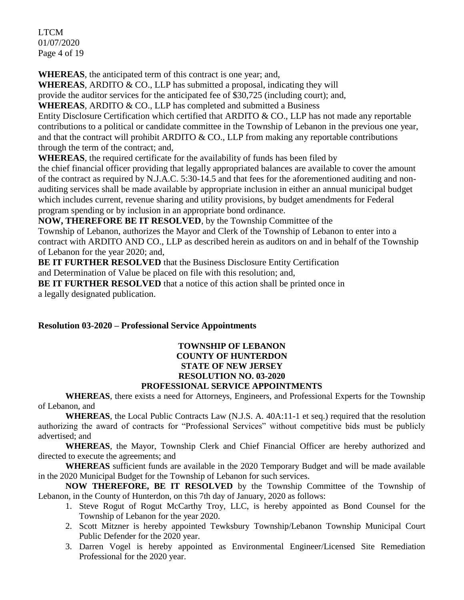LTCM 01/07/2020 Page 4 of 19

**WHEREAS**, the anticipated term of this contract is one year; and,

**WHEREAS**, ARDITO & CO., LLP has submitted a proposal, indicating they will

provide the auditor services for the anticipated fee of \$30,725 (including court); and,

**WHEREAS**, ARDITO & CO., LLP has completed and submitted a Business

Entity Disclosure Certification which certified that ARDITO & CO., LLP has not made any reportable contributions to a political or candidate committee in the Township of Lebanon in the previous one year, and that the contract will prohibit ARDITO  $& CO$ . LLP from making any reportable contributions through the term of the contract; and,

**WHEREAS**, the required certificate for the availability of funds has been filed by

the chief financial officer providing that legally appropriated balances are available to cover the amount of the contract as required by N.J.A.C. 5:30-14.5 and that fees for the aforementioned auditing and nonauditing services shall be made available by appropriate inclusion in either an annual municipal budget which includes current, revenue sharing and utility provisions, by budget amendments for Federal program spending or by inclusion in an appropriate bond ordinance.

**NOW, THEREFORE BE IT RESOLVED**, by the Township Committee of the

Township of Lebanon, authorizes the Mayor and Clerk of the Township of Lebanon to enter into a contract with ARDITO AND CO., LLP as described herein as auditors on and in behalf of the Township of Lebanon for the year 2020; and,

**BE IT FURTHER RESOLVED** that the Business Disclosure Entity Certification

and Determination of Value be placed on file with this resolution; and,

**BE IT FURTHER RESOLVED** that a notice of this action shall be printed once in a legally designated publication.

## **Resolution 03-2020 – Professional Service Appointments**

#### **TOWNSHIP OF LEBANON COUNTY OF HUNTERDON STATE OF NEW JERSEY RESOLUTION NO. 03-2020 PROFESSIONAL SERVICE APPOINTMENTS**

**WHEREAS**, there exists a need for Attorneys, Engineers, and Professional Experts for the Township of Lebanon, and

**WHEREAS**, the Local Public Contracts Law (N.J.S. A. 40A:11-1 et seq.) required that the resolution authorizing the award of contracts for "Professional Services" without competitive bids must be publicly advertised; and

**WHEREAS**, the Mayor, Township Clerk and Chief Financial Officer are hereby authorized and directed to execute the agreements; and

**WHEREAS** sufficient funds are available in the 2020 Temporary Budget and will be made available in the 2020 Municipal Budget for the Township of Lebanon for such services.

**NOW THEREFORE, BE IT RESOLVED** by the Township Committee of the Township of Lebanon, in the County of Hunterdon, on this 7th day of January, 2020 as follows:

- 1. Steve Rogut of Rogut McCarthy Troy, LLC, is hereby appointed as Bond Counsel for the Township of Lebanon for the year 2020.
- 2. Scott Mitzner is hereby appointed Tewksbury Township/Lebanon Township Municipal Court Public Defender for the 2020 year.
- 3. Darren Vogel is hereby appointed as Environmental Engineer/Licensed Site Remediation Professional for the 2020 year.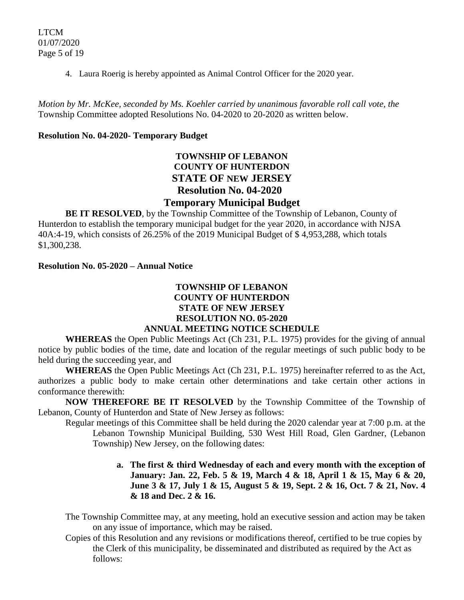4. Laura Roerig is hereby appointed as Animal Control Officer for the 2020 year.

*Motion by Mr. McKee, seconded by Ms. Koehler carried by unanimous favorable roll call vote, the* Township Committee adopted Resolutions No. 04-2020 to 20-2020 as written below.

## **Resolution No. 04-2020- Temporary Budget**

# **TOWNSHIP OF LEBANON COUNTY OF HUNTERDON STATE OF NEW JERSEY Resolution No. 04-2020**

# **Temporary Municipal Budget**

**BE IT RESOLVED**, by the Township Committee of the Township of Lebanon, County of Hunterdon to establish the temporary municipal budget for the year 2020, in accordance with NJSA 40A:4-19, which consists of 26.25% of the 2019 Municipal Budget of \$ 4,953,288, which totals \$1,300,238.

#### **Resolution No. 05-2020 – Annual Notice**

## **TOWNSHIP OF LEBANON COUNTY OF HUNTERDON STATE OF NEW JERSEY RESOLUTION NO. 05-2020 ANNUAL MEETING NOTICE SCHEDULE**

**WHEREAS** the Open Public Meetings Act (Ch 231, P.L. 1975) provides for the giving of annual notice by public bodies of the time, date and location of the regular meetings of such public body to be held during the succeeding year, and

**WHEREAS** the Open Public Meetings Act (Ch 231, P.L. 1975) hereinafter referred to as the Act, authorizes a public body to make certain other determinations and take certain other actions in conformance therewith:

**NOW THEREFORE BE IT RESOLVED** by the Township Committee of the Township of Lebanon, County of Hunterdon and State of New Jersey as follows:

Regular meetings of this Committee shall be held during the 2020 calendar year at 7:00 p.m. at the Lebanon Township Municipal Building, 530 West Hill Road, Glen Gardner, (Lebanon Township) New Jersey, on the following dates:

- **a. The first & third Wednesday of each and every month with the exception of January: Jan. 22, Feb. 5 & 19, March 4 & 18, April 1 & 15, May 6 & 20, June 3 & 17, July 1 & 15, August 5 & 19, Sept. 2 & 16, Oct. 7 & 21, Nov. 4 & 18 and Dec. 2 & 16.**
- The Township Committee may, at any meeting, hold an executive session and action may be taken on any issue of importance, which may be raised.
- Copies of this Resolution and any revisions or modifications thereof, certified to be true copies by the Clerk of this municipality, be disseminated and distributed as required by the Act as follows: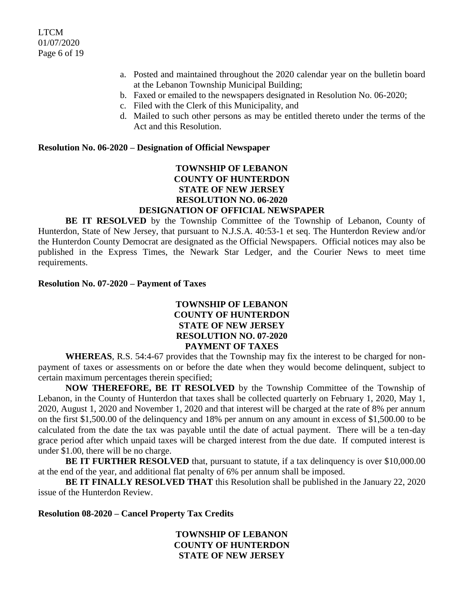- a. Posted and maintained throughout the 2020 calendar year on the bulletin board at the Lebanon Township Municipal Building;
- b. Faxed or emailed to the newspapers designated in Resolution No. 06-2020;
- c. Filed with the Clerk of this Municipality, and
- d. Mailed to such other persons as may be entitled thereto under the terms of the Act and this Resolution.

#### **Resolution No. 06-2020 – Designation of Official Newspaper**

# **TOWNSHIP OF LEBANON COUNTY OF HUNTERDON STATE OF NEW JERSEY RESOLUTION NO. 06-2020**

## **DESIGNATION OF OFFICIAL NEWSPAPER**

**BE IT RESOLVED** by the Township Committee of the Township of Lebanon, County of Hunterdon, State of New Jersey, that pursuant to N.J.S.A. 40:53-1 et seq. The Hunterdon Review and/or the Hunterdon County Democrat are designated as the Official Newspapers. Official notices may also be published in the Express Times, the Newark Star Ledger, and the Courier News to meet time requirements.

#### **Resolution No. 07-2020 – Payment of Taxes**

## **TOWNSHIP OF LEBANON COUNTY OF HUNTERDON STATE OF NEW JERSEY RESOLUTION NO. 07-2020 PAYMENT OF TAXES**

**WHEREAS**, R.S. 54:4-67 provides that the Township may fix the interest to be charged for nonpayment of taxes or assessments on or before the date when they would become delinquent, subject to certain maximum percentages therein specified;

**NOW THEREFORE, BE IT RESOLVED** by the Township Committee of the Township of Lebanon, in the County of Hunterdon that taxes shall be collected quarterly on February 1, 2020, May 1, 2020, August 1, 2020 and November 1, 2020 and that interest will be charged at the rate of 8% per annum on the first \$1,500.00 of the delinquency and 18% per annum on any amount in excess of \$1,500.00 to be calculated from the date the tax was payable until the date of actual payment. There will be a ten-day grace period after which unpaid taxes will be charged interest from the due date. If computed interest is under \$1.00, there will be no charge.

BE IT FURTHER RESOLVED that, pursuant to statute, if a tax delinquency is over \$10,000.00 at the end of the year, and additional flat penalty of 6% per annum shall be imposed.

**BE IT FINALLY RESOLVED THAT** this Resolution shall be published in the January 22, 2020 issue of the Hunterdon Review.

**Resolution 08-2020 – Cancel Property Tax Credits**

**TOWNSHIP OF LEBANON COUNTY OF HUNTERDON STATE OF NEW JERSEY**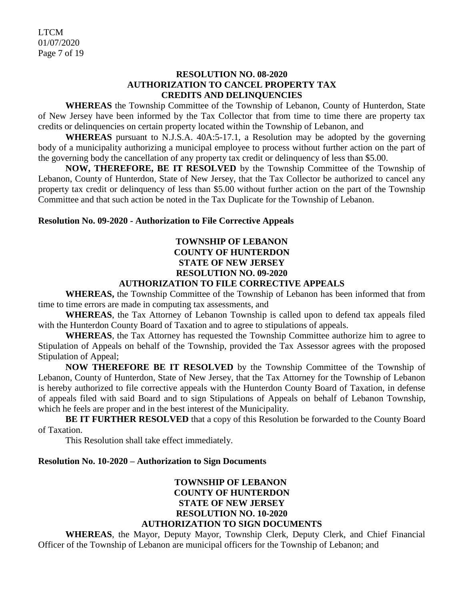LTCM 01/07/2020 Page 7 of 19

### **RESOLUTION NO. 08-2020 AUTHORIZATION TO CANCEL PROPERTY TAX CREDITS AND DELINQUENCIES**

**WHEREAS** the Township Committee of the Township of Lebanon, County of Hunterdon, State of New Jersey have been informed by the Tax Collector that from time to time there are property tax credits or delinquencies on certain property located within the Township of Lebanon, and

**WHEREAS** pursuant to N.J.S.A. 40A:5-17.1, a Resolution may be adopted by the governing body of a municipality authorizing a municipal employee to process without further action on the part of the governing body the cancellation of any property tax credit or delinquency of less than \$5.00.

**NOW, THEREFORE, BE IT RESOLVED** by the Township Committee of the Township of Lebanon, County of Hunterdon, State of New Jersey, that the Tax Collector be authorized to cancel any property tax credit or delinquency of less than \$5.00 without further action on the part of the Township Committee and that such action be noted in the Tax Duplicate for the Township of Lebanon.

## **Resolution No. 09-2020 - Authorization to File Corrective Appeals**

# **TOWNSHIP OF LEBANON COUNTY OF HUNTERDON STATE OF NEW JERSEY RESOLUTION NO. 09-2020**

## **AUTHORIZATION TO FILE CORRECTIVE APPEALS**

**WHEREAS,** the Township Committee of the Township of Lebanon has been informed that from time to time errors are made in computing tax assessments, and

**WHEREAS**, the Tax Attorney of Lebanon Township is called upon to defend tax appeals filed with the Hunterdon County Board of Taxation and to agree to stipulations of appeals.

**WHEREAS**, the Tax Attorney has requested the Township Committee authorize him to agree to Stipulation of Appeals on behalf of the Township, provided the Tax Assessor agrees with the proposed Stipulation of Appeal;

**NOW THEREFORE BE IT RESOLVED** by the Township Committee of the Township of Lebanon, County of Hunterdon, State of New Jersey, that the Tax Attorney for the Township of Lebanon is hereby authorized to file corrective appeals with the Hunterdon County Board of Taxation, in defense of appeals filed with said Board and to sign Stipulations of Appeals on behalf of Lebanon Township, which he feels are proper and in the best interest of the Municipality.

**BE IT FURTHER RESOLVED** that a copy of this Resolution be forwarded to the County Board of Taxation.

This Resolution shall take effect immediately.

## **Resolution No. 10-2020 – Authorization to Sign Documents**

## **TOWNSHIP OF LEBANON COUNTY OF HUNTERDON STATE OF NEW JERSEY RESOLUTION NO. 10-2020 AUTHORIZATION TO SIGN DOCUMENTS**

**WHEREAS**, the Mayor, Deputy Mayor, Township Clerk, Deputy Clerk, and Chief Financial Officer of the Township of Lebanon are municipal officers for the Township of Lebanon; and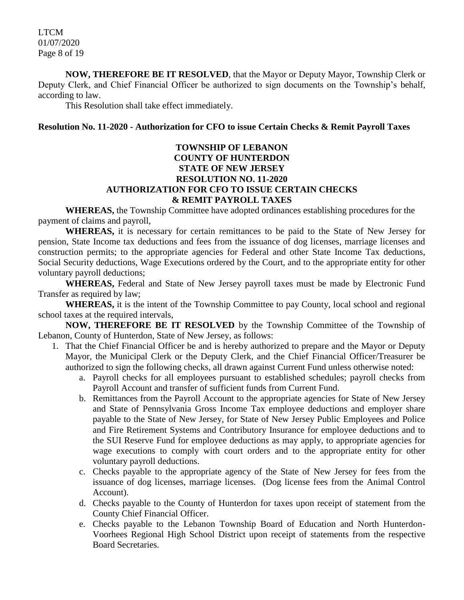LTCM 01/07/2020 Page 8 of 19

**NOW, THEREFORE BE IT RESOLVED**, that the Mayor or Deputy Mayor, Township Clerk or Deputy Clerk, and Chief Financial Officer be authorized to sign documents on the Township's behalf, according to law.

This Resolution shall take effect immediately.

#### **Resolution No. 11-2020 - Authorization for CFO to issue Certain Checks & Remit Payroll Taxes**

## **TOWNSHIP OF LEBANON COUNTY OF HUNTERDON STATE OF NEW JERSEY RESOLUTION NO. 11-2020 AUTHORIZATION FOR CFO TO ISSUE CERTAIN CHECKS & REMIT PAYROLL TAXES**

**WHEREAS,** the Township Committee have adopted ordinances establishing procedures for the payment of claims and payroll,

**WHEREAS,** it is necessary for certain remittances to be paid to the State of New Jersey for pension, State Income tax deductions and fees from the issuance of dog licenses, marriage licenses and construction permits; to the appropriate agencies for Federal and other State Income Tax deductions, Social Security deductions, Wage Executions ordered by the Court, and to the appropriate entity for other voluntary payroll deductions;

**WHEREAS,** Federal and State of New Jersey payroll taxes must be made by Electronic Fund Transfer as required by law;

**WHEREAS,** it is the intent of the Township Committee to pay County, local school and regional school taxes at the required intervals,

**NOW, THEREFORE BE IT RESOLVED** by the Township Committee of the Township of Lebanon, County of Hunterdon, State of New Jersey, as follows:

- 1. That the Chief Financial Officer be and is hereby authorized to prepare and the Mayor or Deputy Mayor, the Municipal Clerk or the Deputy Clerk, and the Chief Financial Officer/Treasurer be authorized to sign the following checks, all drawn against Current Fund unless otherwise noted:
	- a. Payroll checks for all employees pursuant to established schedules; payroll checks from Payroll Account and transfer of sufficient funds from Current Fund.
	- b. Remittances from the Payroll Account to the appropriate agencies for State of New Jersey and State of Pennsylvania Gross Income Tax employee deductions and employer share payable to the State of New Jersey, for State of New Jersey Public Employees and Police and Fire Retirement Systems and Contributory Insurance for employee deductions and to the SUI Reserve Fund for employee deductions as may apply, to appropriate agencies for wage executions to comply with court orders and to the appropriate entity for other voluntary payroll deductions.
	- c. Checks payable to the appropriate agency of the State of New Jersey for fees from the issuance of dog licenses, marriage licenses. (Dog license fees from the Animal Control Account).
	- d. Checks payable to the County of Hunterdon for taxes upon receipt of statement from the County Chief Financial Officer.
	- e. Checks payable to the Lebanon Township Board of Education and North Hunterdon-Voorhees Regional High School District upon receipt of statements from the respective Board Secretaries.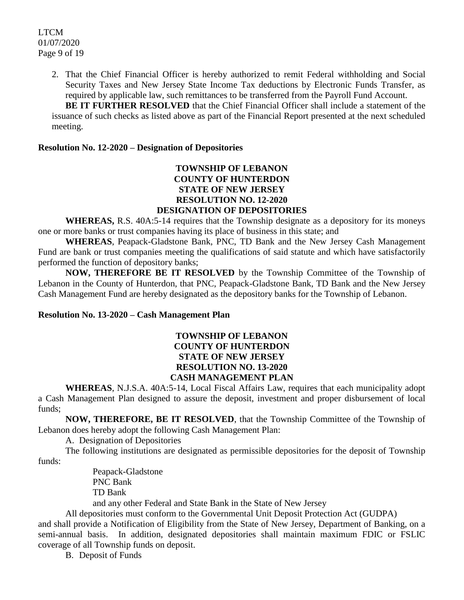LTCM 01/07/2020 Page 9 of 19

> 2. That the Chief Financial Officer is hereby authorized to remit Federal withholding and Social Security Taxes and New Jersey State Income Tax deductions by Electronic Funds Transfer, as required by applicable law, such remittances to be transferred from the Payroll Fund Account.

> **BE IT FURTHER RESOLVED** that the Chief Financial Officer shall include a statement of the issuance of such checks as listed above as part of the Financial Report presented at the next scheduled meeting.

#### **Resolution No. 12-2020 – Designation of Depositories**

#### **TOWNSHIP OF LEBANON COUNTY OF HUNTERDON STATE OF NEW JERSEY RESOLUTION NO. 12-2020 DESIGNATION OF DEPOSITORIES**

**WHEREAS,** R.S. 40A:5-14 requires that the Township designate as a depository for its moneys one or more banks or trust companies having its place of business in this state; and

**WHEREAS**, Peapack-Gladstone Bank, PNC, TD Bank and the New Jersey Cash Management Fund are bank or trust companies meeting the qualifications of said statute and which have satisfactorily performed the function of depository banks;

**NOW, THEREFORE BE IT RESOLVED** by the Township Committee of the Township of Lebanon in the County of Hunterdon, that PNC, Peapack-Gladstone Bank, TD Bank and the New Jersey Cash Management Fund are hereby designated as the depository banks for the Township of Lebanon.

#### **Resolution No. 13-2020 – Cash Management Plan**

### **TOWNSHIP OF LEBANON COUNTY OF HUNTERDON STATE OF NEW JERSEY RESOLUTION NO. 13-2020 CASH MANAGEMENT PLAN**

**WHEREAS**, N.J.S.A. 40A:5-14, Local Fiscal Affairs Law, requires that each municipality adopt a Cash Management Plan designed to assure the deposit, investment and proper disbursement of local funds;

**NOW, THEREFORE, BE IT RESOLVED**, that the Township Committee of the Township of Lebanon does hereby adopt the following Cash Management Plan:

A. Designation of Depositories

The following institutions are designated as permissible depositories for the deposit of Township funds:

> Peapack-Gladstone PNC Bank TD Bank

and any other Federal and State Bank in the State of New Jersey

All depositories must conform to the Governmental Unit Deposit Protection Act (GUDPA)

and shall provide a Notification of Eligibility from the State of New Jersey, Department of Banking, on a semi-annual basis. In addition, designated depositories shall maintain maximum FDIC or FSLIC coverage of all Township funds on deposit.

B. Deposit of Funds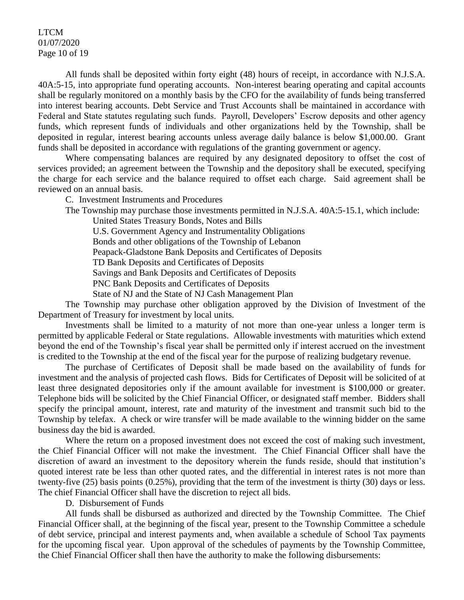#### LTCM 01/07/2020 Page 10 of 19

All funds shall be deposited within forty eight (48) hours of receipt, in accordance with N.J.S.A. 40A:5-15, into appropriate fund operating accounts. Non-interest bearing operating and capital accounts shall be regularly monitored on a monthly basis by the CFO for the availability of funds being transferred into interest bearing accounts. Debt Service and Trust Accounts shall be maintained in accordance with Federal and State statutes regulating such funds. Payroll, Developers' Escrow deposits and other agency funds, which represent funds of individuals and other organizations held by the Township, shall be deposited in regular, interest bearing accounts unless average daily balance is below \$1,000.00. Grant funds shall be deposited in accordance with regulations of the granting government or agency.

Where compensating balances are required by any designated depository to offset the cost of services provided; an agreement between the Township and the depository shall be executed, specifying the charge for each service and the balance required to offset each charge. Said agreement shall be reviewed on an annual basis.

C. Investment Instruments and Procedures

The Township may purchase those investments permitted in N.J.S.A. 40A:5-15.1, which include:

United States Treasury Bonds, Notes and Bills

U.S. Government Agency and Instrumentality Obligations

Bonds and other obligations of the Township of Lebanon

Peapack-Gladstone Bank Deposits and Certificates of Deposits

TD Bank Deposits and Certificates of Deposits

Savings and Bank Deposits and Certificates of Deposits

PNC Bank Deposits and Certificates of Deposits

State of NJ and the State of NJ Cash Management Plan

The Township may purchase other obligation approved by the Division of Investment of the Department of Treasury for investment by local units.

Investments shall be limited to a maturity of not more than one-year unless a longer term is permitted by applicable Federal or State regulations. Allowable investments with maturities which extend beyond the end of the Township's fiscal year shall be permitted only if interest accrued on the investment is credited to the Township at the end of the fiscal year for the purpose of realizing budgetary revenue.

The purchase of Certificates of Deposit shall be made based on the availability of funds for investment and the analysis of projected cash flows. Bids for Certificates of Deposit will be solicited of at least three designated depositories only if the amount available for investment is \$100,000 or greater. Telephone bids will be solicited by the Chief Financial Officer, or designated staff member. Bidders shall specify the principal amount, interest, rate and maturity of the investment and transmit such bid to the Township by telefax. A check or wire transfer will be made available to the winning bidder on the same business day the bid is awarded.

Where the return on a proposed investment does not exceed the cost of making such investment, the Chief Financial Officer will not make the investment. The Chief Financial Officer shall have the discretion of award an investment to the depository wherein the funds reside, should that institution's quoted interest rate be less than other quoted rates, and the differential in interest rates is not more than twenty-five (25) basis points (0.25%), providing that the term of the investment is thirty (30) days or less. The chief Financial Officer shall have the discretion to reject all bids.

D. Disbursement of Funds

All funds shall be disbursed as authorized and directed by the Township Committee. The Chief Financial Officer shall, at the beginning of the fiscal year, present to the Township Committee a schedule of debt service, principal and interest payments and, when available a schedule of School Tax payments for the upcoming fiscal year. Upon approval of the schedules of payments by the Township Committee, the Chief Financial Officer shall then have the authority to make the following disbursements: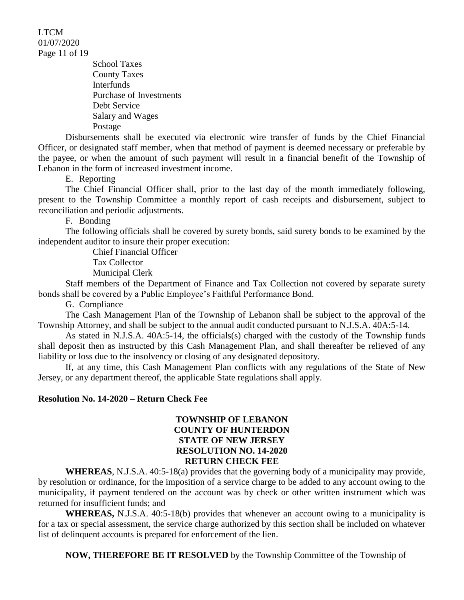LTCM 01/07/2020 Page 11 of 19

> School Taxes County Taxes Interfunds Purchase of Investments Debt Service Salary and Wages Postage

Disbursements shall be executed via electronic wire transfer of funds by the Chief Financial Officer, or designated staff member, when that method of payment is deemed necessary or preferable by the payee, or when the amount of such payment will result in a financial benefit of the Township of Lebanon in the form of increased investment income.

E. Reporting

The Chief Financial Officer shall, prior to the last day of the month immediately following, present to the Township Committee a monthly report of cash receipts and disbursement, subject to reconciliation and periodic adjustments.

F. Bonding

The following officials shall be covered by surety bonds, said surety bonds to be examined by the independent auditor to insure their proper execution:

> Chief Financial Officer Tax Collector Municipal Clerk

Staff members of the Department of Finance and Tax Collection not covered by separate surety bonds shall be covered by a Public Employee's Faithful Performance Bond.

G. Compliance

The Cash Management Plan of the Township of Lebanon shall be subject to the approval of the Township Attorney, and shall be subject to the annual audit conducted pursuant to N.J.S.A. 40A:5-14.

As stated in N.J.S.A. 40A:5-14, the officials(s) charged with the custody of the Township funds shall deposit then as instructed by this Cash Management Plan, and shall thereafter be relieved of any liability or loss due to the insolvency or closing of any designated depository.

If, at any time, this Cash Management Plan conflicts with any regulations of the State of New Jersey, or any department thereof, the applicable State regulations shall apply.

#### **Resolution No. 14-2020 – Return Check Fee**

### **TOWNSHIP OF LEBANON COUNTY OF HUNTERDON STATE OF NEW JERSEY RESOLUTION NO. 14-2020 RETURN CHECK FEE**

**WHEREAS**, N.J.S.A. 40:5-18(a) provides that the governing body of a municipality may provide, by resolution or ordinance, for the imposition of a service charge to be added to any account owing to the municipality, if payment tendered on the account was by check or other written instrument which was returned for insufficient funds; and

**WHEREAS,** N.J.S.A. 40:5-18(b) provides that whenever an account owing to a municipality is for a tax or special assessment, the service charge authorized by this section shall be included on whatever list of delinquent accounts is prepared for enforcement of the lien.

**NOW, THEREFORE BE IT RESOLVED** by the Township Committee of the Township of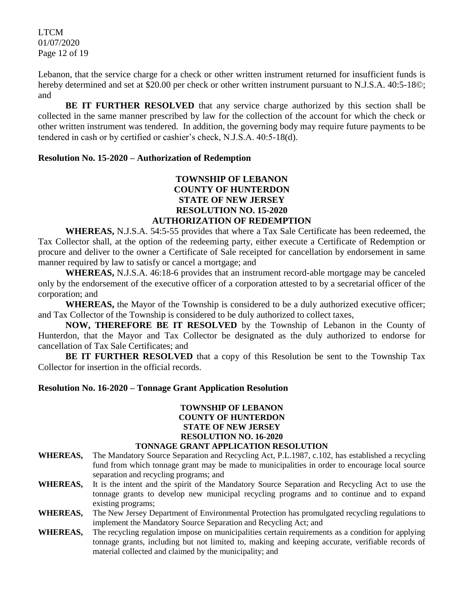LTCM 01/07/2020 Page 12 of 19

Lebanon, that the service charge for a check or other written instrument returned for insufficient funds is hereby determined and set at \$20.00 per check or other written instrument pursuant to N.J.S.A. 40:5-18©; and

**BE IT FURTHER RESOLVED** that any service charge authorized by this section shall be collected in the same manner prescribed by law for the collection of the account for which the check or other written instrument was tendered. In addition, the governing body may require future payments to be tendered in cash or by certified or cashier's check, N.J.S.A. 40:5-18(d).

#### **Resolution No. 15-2020 – Authorization of Redemption**

## **TOWNSHIP OF LEBANON COUNTY OF HUNTERDON STATE OF NEW JERSEY RESOLUTION NO. 15-2020 AUTHORIZATION OF REDEMPTION**

**WHEREAS,** N.J.S.A. 54:5-55 provides that where a Tax Sale Certificate has been redeemed, the Tax Collector shall, at the option of the redeeming party, either execute a Certificate of Redemption or procure and deliver to the owner a Certificate of Sale receipted for cancellation by endorsement in same manner required by law to satisfy or cancel a mortgage; and

**WHEREAS,** N.J.S.A. 46:18-6 provides that an instrument record-able mortgage may be canceled only by the endorsement of the executive officer of a corporation attested to by a secretarial officer of the corporation; and

**WHEREAS,** the Mayor of the Township is considered to be a duly authorized executive officer; and Tax Collector of the Township is considered to be duly authorized to collect taxes,

**NOW, THEREFORE BE IT RESOLVED** by the Township of Lebanon in the County of Hunterdon, that the Mayor and Tax Collector be designated as the duly authorized to endorse for cancellation of Tax Sale Certificates; and

**BE IT FURTHER RESOLVED** that a copy of this Resolution be sent to the Township Tax Collector for insertion in the official records.

#### **Resolution No. 16-2020 – Tonnage Grant Application Resolution**

## **TOWNSHIP OF LEBANON COUNTY OF HUNTERDON STATE OF NEW JERSEY RESOLUTION NO. 16-2020**

#### **TONNAGE GRANT APPLICATION RESOLUTION**

- **WHEREAS,** The Mandatory Source Separation and Recycling Act, P.L.1987, c.102, has established a recycling fund from which tonnage grant may be made to municipalities in order to encourage local source separation and recycling programs; and
- **WHEREAS,** It is the intent and the spirit of the Mandatory Source Separation and Recycling Act to use the tonnage grants to develop new municipal recycling programs and to continue and to expand existing programs;
- **WHEREAS,** The New Jersey Department of Environmental Protection has promulgated recycling regulations to implement the Mandatory Source Separation and Recycling Act; and
- **WHEREAS,** The recycling regulation impose on municipalities certain requirements as a condition for applying tonnage grants, including but not limited to, making and keeping accurate, verifiable records of material collected and claimed by the municipality; and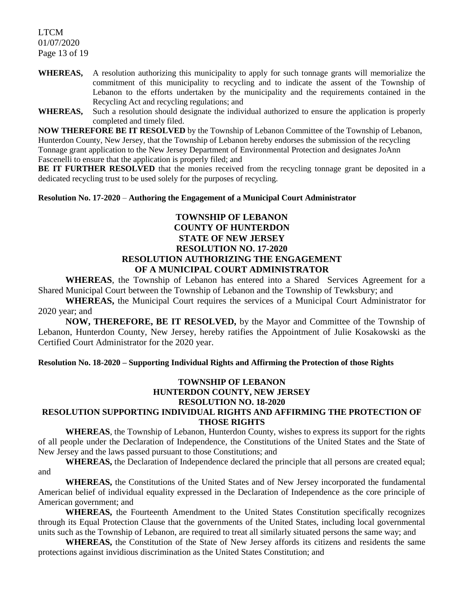LTCM 01/07/2020 Page 13 of 19

- **WHEREAS,** A resolution authorizing this municipality to apply for such tonnage grants will memorialize the commitment of this municipality to recycling and to indicate the assent of the Township of Lebanon to the efforts undertaken by the municipality and the requirements contained in the Recycling Act and recycling regulations; and
- **WHEREAS,** Such a resolution should designate the individual authorized to ensure the application is properly completed and timely filed.

**NOW THEREFORE BE IT RESOLVED** by the Township of Lebanon Committee of the Township of Lebanon, Hunterdon County, New Jersey, that the Township of Lebanon hereby endorses the submission of the recycling Tonnage grant application to the New Jersey Department of Environmental Protection and designates JoAnn Fascenelli to ensure that the application is properly filed; and

**BE IT FURTHER RESOLVED** that the monies received from the recycling tonnage grant be deposited in a dedicated recycling trust to be used solely for the purposes of recycling.

#### **Resolution No. 17-2020** – **Authoring the Engagement of a Municipal Court Administrator**

## **TOWNSHIP OF LEBANON COUNTY OF HUNTERDON STATE OF NEW JERSEY RESOLUTION NO. 17-2020 RESOLUTION AUTHORIZING THE ENGAGEMENT OF A MUNICIPAL COURT ADMINISTRATOR**

**WHEREAS**, the Township of Lebanon has entered into a Shared Services Agreement for a Shared Municipal Court between the Township of Lebanon and the Township of Tewksbury; and

**WHEREAS,** the Municipal Court requires the services of a Municipal Court Administrator for 2020 year; and

**NOW, THEREFORE, BE IT RESOLVED,** by the Mayor and Committee of the Township of Lebanon, Hunterdon County, New Jersey, hereby ratifies the Appointment of Julie Kosakowski as the Certified Court Administrator for the 2020 year.

#### **Resolution No. 18-2020 – Supporting Individual Rights and Affirming the Protection of those Rights**

# **TOWNSHIP OF LEBANON HUNTERDON COUNTY, NEW JERSEY RESOLUTION NO. 18-2020**

# **RESOLUTION SUPPORTING INDIVIDUAL RIGHTS AND AFFIRMING THE PROTECTION OF THOSE RIGHTS**

**WHEREAS**, the Township of Lebanon, Hunterdon County, wishes to express its support for the rights of all people under the Declaration of Independence, the Constitutions of the United States and the State of New Jersey and the laws passed pursuant to those Constitutions; and

**WHEREAS,** the Declaration of Independence declared the principle that all persons are created equal; and

**WHEREAS,** the Constitutions of the United States and of New Jersey incorporated the fundamental American belief of individual equality expressed in the Declaration of Independence as the core principle of American government; and

**WHEREAS,** the Fourteenth Amendment to the United States Constitution specifically recognizes through its Equal Protection Clause that the governments of the United States, including local governmental units such as the Township of Lebanon, are required to treat all similarly situated persons the same way; and

**WHEREAS,** the Constitution of the State of New Jersey affords its citizens and residents the same protections against invidious discrimination as the United States Constitution; and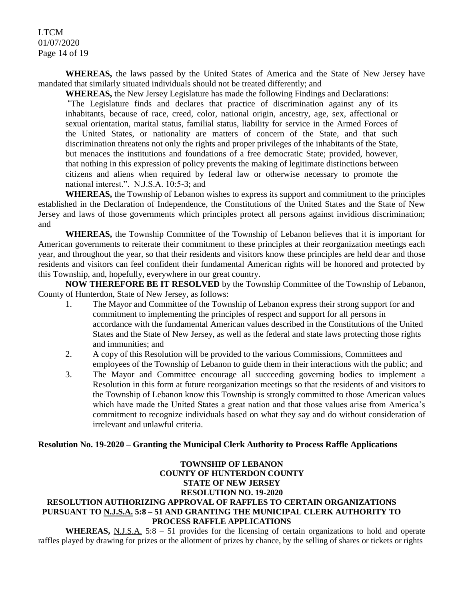LTCM 01/07/2020 Page 14 of 19

**WHEREAS,** the laws passed by the United States of America and the State of New Jersey have mandated that similarly situated individuals should not be treated differently; and

**WHEREAS,** the New Jersey Legislature has made the following Findings and Declarations:

"The Legislature finds and declares that practice of discrimination against any of its inhabitants, because of race, creed, color, national origin, ancestry, age, sex, affectional or sexual orientation, marital status, familial status, liability for service in the Armed Forces of the United States, or nationality are matters of concern of the State, and that such discrimination threatens not only the rights and proper privileges of the inhabitants of the State, but menaces the institutions and foundations of a free democratic State; provided, however, that nothing in this expression of policy prevents the making of legitimate distinctions between citizens and aliens when required by federal law or otherwise necessary to promote the national interest.". N.J.S.A. 10:5-3; and

**WHEREAS,** the Township of Lebanon wishes to express its support and commitment to the principles established in the Declaration of Independence, the Constitutions of the United States and the State of New Jersey and laws of those governments which principles protect all persons against invidious discrimination; and

**WHEREAS,** the Township Committee of the Township of Lebanon believes that it is important for American governments to reiterate their commitment to these principles at their reorganization meetings each year, and throughout the year, so that their residents and visitors know these principles are held dear and those residents and visitors can feel confident their fundamental American rights will be honored and protected by this Township, and, hopefully, everywhere in our great country.

**NOW THEREFORE BE IT RESOLVED** by the Township Committee of the Township of Lebanon, County of Hunterdon, State of New Jersey, as follows:

- 1. The Mayor and Committee of the Township of Lebanon express their strong support for and commitment to implementing the principles of respect and support for all persons in accordance with the fundamental American values described in the Constitutions of the United States and the State of New Jersey, as well as the federal and state laws protecting those rights and immunities; and
- 2. A copy of this Resolution will be provided to the various Commissions, Committees and employees of the Township of Lebanon to guide them in their interactions with the public; and
- 3. The Mayor and Committee encourage all succeeding governing bodies to implement a Resolution in this form at future reorganization meetings so that the residents of and visitors to the Township of Lebanon know this Township is strongly committed to those American values which have made the United States a great nation and that those values arise from America's commitment to recognize individuals based on what they say and do without consideration of irrelevant and unlawful criteria.

#### **Resolution No. 19-2020 – Granting the Municipal Clerk Authority to Process Raffle Applications**

#### **TOWNSHIP OF LEBANON COUNTY OF HUNTERDON COUNTY STATE OF NEW JERSEY RESOLUTION NO. 19-2020 RESOLUTION AUTHORIZING APPROVAL OF RAFFLES TO CERTAIN ORGANIZATIONS PURSUANT TO N.J.S.A. 5:8 – 51 AND GRANTING THE MUNICIPAL CLERK AUTHORITY TO PROCESS RAFFLE APPLICATIONS**

WHEREAS, N.J.S.A. 5:8 – 51 provides for the licensing of certain organizations to hold and operate raffles played by drawing for prizes or the allotment of prizes by chance, by the selling of shares or tickets or rights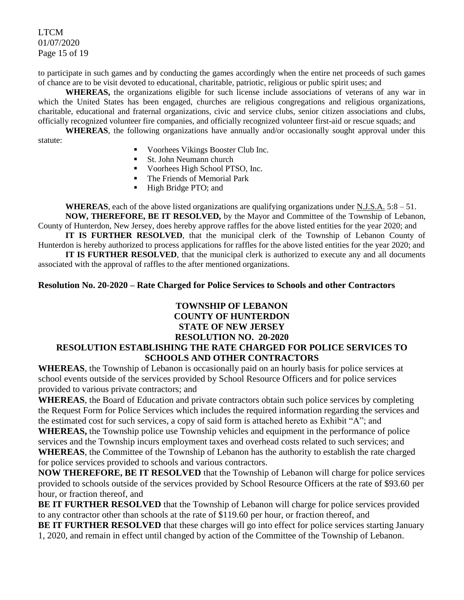LTCM 01/07/2020 Page 15 of 19

to participate in such games and by conducting the games accordingly when the entire net proceeds of such games of chance are to be visit devoted to educational, charitable, patriotic, religious or public spirit uses; and

**WHEREAS,** the organizations eligible for such license include associations of veterans of any war in which the United States has been engaged, churches are religious congregations and religious organizations, charitable, educational and fraternal organizations, civic and service clubs, senior citizen associations and clubs, officially recognized volunteer fire companies, and officially recognized volunteer first-aid or rescue squads; and

**WHEREAS**, the following organizations have annually and/or occasionally sought approval under this statute:

- Voorhees Vikings Booster Club Inc.
- **St. John Neumann church**
- Voorhees High School PTSO, Inc.
- The Friends of Memorial Park
- High Bridge PTO; and

**WHEREAS**, each of the above listed organizations are qualifying organizations under N.J.S.A. 5:8 – 51. **NOW, THEREFORE, BE IT RESOLVED,** by the Mayor and Committee of the Township of Lebanon, County of Hunterdon, New Jersey, does hereby approve raffles for the above listed entities for the year 2020; and

**IT IS FURTHER RESOLVED**, that the municipal clerk of the Township of Lebanon County of Hunterdon is hereby authorized to process applications for raffles for the above listed entities for the year 2020; and

**IT IS FURTHER RESOLVED**, that the municipal clerk is authorized to execute any and all documents associated with the approval of raffles to the after mentioned organizations.

#### **Resolution No. 20-2020 – Rate Charged for Police Services to Schools and other Contractors**

## **TOWNSHIP OF LEBANON COUNTY OF HUNTERDON STATE OF NEW JERSEY RESOLUTION NO. 20-2020 RESOLUTION ESTABLISHING THE RATE CHARGED FOR POLICE SERVICES TO SCHOOLS AND OTHER CONTRACTORS**

**WHEREAS**, the Township of Lebanon is occasionally paid on an hourly basis for police services at school events outside of the services provided by School Resource Officers and for police services provided to various private contractors; and

**WHEREAS**, the Board of Education and private contractors obtain such police services by completing the Request Form for Police Services which includes the required information regarding the services and the estimated cost for such services, a copy of said form is attached hereto as Exhibit "A"; and **WHEREAS,** the Township police use Township vehicles and equipment in the performance of police services and the Township incurs employment taxes and overhead costs related to such services; and **WHEREAS**, the Committee of the Township of Lebanon has the authority to establish the rate charged for police services provided to schools and various contractors.

**NOW THEREFORE, BE IT RESOLVED** that the Township of Lebanon will charge for police services provided to schools outside of the services provided by School Resource Officers at the rate of \$93.60 per hour, or fraction thereof, and

**BE IT FURTHER RESOLVED** that the Township of Lebanon will charge for police services provided to any contractor other than schools at the rate of \$119.60 per hour, or fraction thereof, and

**BE IT FURTHER RESOLVED** that these charges will go into effect for police services starting January 1, 2020, and remain in effect until changed by action of the Committee of the Township of Lebanon.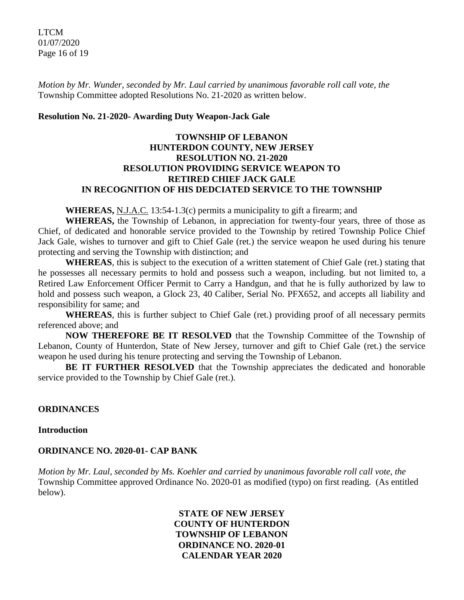LTCM 01/07/2020 Page 16 of 19

*Motion by Mr. Wunder, seconded by Mr. Laul carried by unanimous favorable roll call vote, the* Township Committee adopted Resolutions No. 21-2020 as written below.

## **Resolution No. 21-2020- Awarding Duty Weapon-Jack Gale**

## **TOWNSHIP OF LEBANON HUNTERDON COUNTY, NEW JERSEY RESOLUTION NO. 21-2020 RESOLUTION PROVIDING SERVICE WEAPON TO RETIRED CHIEF JACK GALE IN RECOGNITION OF HIS DEDCIATED SERVICE TO THE TOWNSHIP**

**WHEREAS,** N.J.A.C. 13:54-1.3(c) permits a municipality to gift a firearm; and

**WHEREAS,** the Township of Lebanon, in appreciation for twenty-four years, three of those as Chief, of dedicated and honorable service provided to the Township by retired Township Police Chief Jack Gale, wishes to turnover and gift to Chief Gale (ret.) the service weapon he used during his tenure protecting and serving the Township with distinction; and

**WHEREAS**, this is subject to the execution of a written statement of Chief Gale (ret.) stating that he possesses all necessary permits to hold and possess such a weapon, including. but not limited to, a Retired Law Enforcement Officer Permit to Carry a Handgun, and that he is fully authorized by law to hold and possess such weapon, a Glock 23, 40 Caliber, Serial No. PFX652, and accepts all liability and responsibility for same; and

**WHEREAS**, this is further subject to Chief Gale (ret.) providing proof of all necessary permits referenced above; and

**NOW THEREFORE BE IT RESOLVED** that the Township Committee of the Township of Lebanon, County of Hunterdon, State of New Jersey, turnover and gift to Chief Gale (ret.) the service weapon he used during his tenure protecting and serving the Township of Lebanon.

**BE IT FURTHER RESOLVED** that the Township appreciates the dedicated and honorable service provided to the Township by Chief Gale (ret.).

## **ORDINANCES**

## **Introduction**

## **ORDINANCE NO. 2020-01- CAP BANK**

*Motion by Mr. Laul, seconded by Ms. Koehler and carried by unanimous favorable roll call vote, the* Township Committee approved Ordinance No. 2020-01 as modified (typo) on first reading. (As entitled below).

> **STATE OF NEW JERSEY COUNTY OF HUNTERDON TOWNSHIP OF LEBANON ORDINANCE NO. 2020-01 CALENDAR YEAR 2020**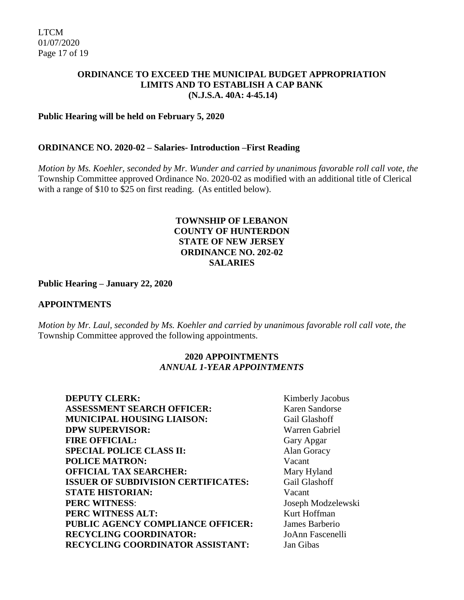## **ORDINANCE TO EXCEED THE MUNICIPAL BUDGET APPROPRIATION LIMITS AND TO ESTABLISH A CAP BANK (N.J.S.A. 40A: 4-45.14)**

## **Public Hearing will be held on February 5, 2020**

#### **ORDINANCE NO. 2020-02 – Salaries- Introduction –First Reading**

*Motion by Ms. Koehler, seconded by Mr. Wunder and carried by unanimous favorable roll call vote, the* Township Committee approved Ordinance No. 2020-02 as modified with an additional title of Clerical with a range of \$10 to \$25 on first reading. (As entitled below).

## **TOWNSHIP OF LEBANON COUNTY OF HUNTERDON STATE OF NEW JERSEY ORDINANCE NO. 202-02 SALARIES**

#### **Public Hearing – January 22, 2020**

#### **APPOINTMENTS**

*Motion by Mr. Laul, seconded by Ms. Koehler and carried by unanimous favorable roll call vote, the* Township Committee approved the following appointments.

## **2020 APPOINTMENTS**  *ANNUAL 1-YEAR APPOINTMENTS*

| <b>DEPUTY CLERK:</b>                       | Kimber  |
|--------------------------------------------|---------|
| <b>ASSESSMENT SEARCH OFFICER:</b>          | Karen : |
| <b>MUNICIPAL HOUSING LIAISON:</b>          | Gail G  |
| <b>DPW SUPERVISOR:</b>                     | Warrer  |
| <b>FIRE OFFICIAL:</b>                      | Gary A  |
| <b>SPECIAL POLICE CLASS II:</b>            | Alan G  |
| <b>POLICE MATRON:</b>                      | Vacant  |
| <b>OFFICIAL TAX SEARCHER:</b>              | Mary F  |
| <b>ISSUER OF SUBDIVISION CERTIFICATES:</b> | Gail G  |
| <b>STATE HISTORIAN:</b>                    | Vacant  |
| <b>PERC WITNESS:</b>                       | Joseph  |
| PERC WITNESS ALT:                          | Kurt H  |
| PUBLIC AGENCY COMPLIANCE OFFICER:          | James 1 |
| <b>RECYCLING COORDINATOR:</b>              | JoAnn   |
| RECYCLING COORDINATOR ASSISTANT:           | Jan Gil |

**Kimberly Jacobus** Karen Sandorse **Gail Glashoff Warren Gabriel** Gary Apgar **Alan Goracy Mary Hyland** Gail Glashoff **PERC WITNESS**: Joseph Modzelewski **Kurt Hoffman James Barberio RECYCLING COORDINATOR:** JoAnn Fascenelli Jan Gibas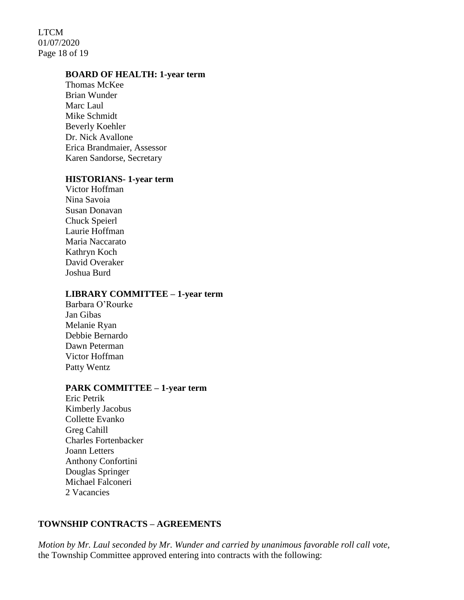LTCM 01/07/2020 Page 18 of 19

#### **BOARD OF HEALTH: 1-year term**

Thomas McKee Brian Wunder Marc Laul Mike Schmidt Beverly Koehler Dr. Nick Avallone Erica Brandmaier, Assessor Karen Sandorse, Secretary

#### **HISTORIANS- 1-year term**

Victor Hoffman Nina Savoia Susan Donavan Chuck Speierl Laurie Hoffman Maria Naccarato Kathryn Koch David Overaker Joshua Burd

#### **LIBRARY COMMITTEE – 1-year term**

Barbara O'Rourke Jan Gibas Melanie Ryan Debbie Bernardo Dawn Peterman Victor Hoffman Patty Wentz

#### **PARK COMMITTEE – 1-year term**

Eric Petrik Kimberly Jacobus Collette Evanko Greg Cahill Charles Fortenbacker Joann Letters Anthony Confortini Douglas Springer Michael Falconeri 2 Vacancies

#### **TOWNSHIP CONTRACTS – AGREEMENTS**

*Motion by Mr. Laul seconded by Mr. Wunder and carried by unanimous favorable roll call vote,*  the Township Committee approved entering into contracts with the following: